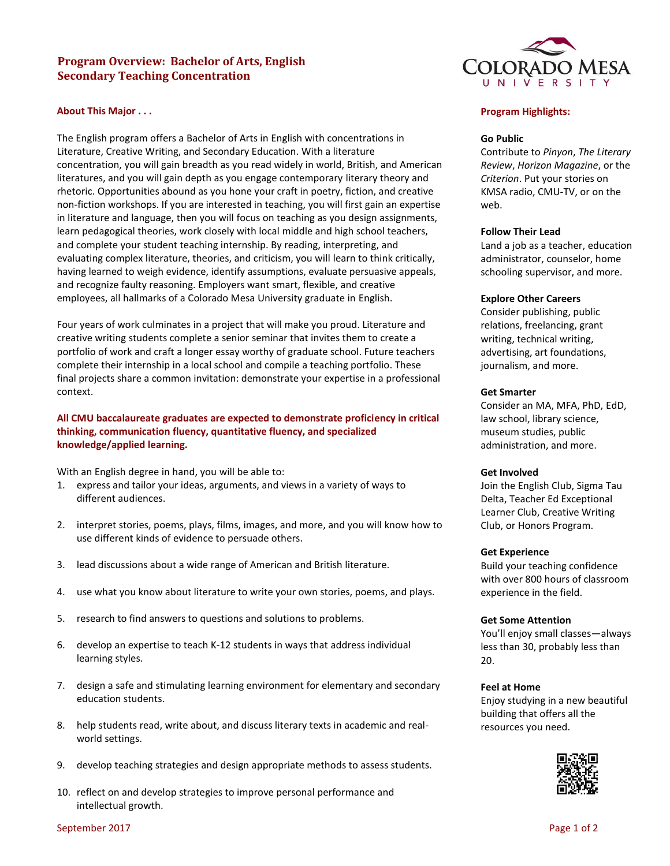# **Program Overview: Bachelor of Arts, English Secondary Teaching Concentration**



The English program offers a Bachelor of Arts in English with concentrations in Literature, Creative Writing, and Secondary Education. With a literature concentration, you will gain breadth as you read widely in world, British, and American literatures, and you will gain depth as you engage contemporary literary theory and rhetoric. Opportunities abound as you hone your craft in poetry, fiction, and creative non-fiction workshops. If you are interested in teaching, you will first gain an expertise in literature and language, then you will focus on teaching as you design assignments, learn pedagogical theories, work closely with local middle and high school teachers, and complete your student teaching internship. By reading, interpreting, and evaluating complex literature, theories, and criticism, you will learn to think critically, having learned to weigh evidence, identify assumptions, evaluate persuasive appeals, and recognize faulty reasoning. Employers want smart, flexible, and creative employees, all hallmarks of a Colorado Mesa University graduate in English.

Four years of work culminates in a project that will make you proud. Literature and creative writing students complete a senior seminar that invites them to create a portfolio of work and craft a longer essay worthy of graduate school. Future teachers complete their internship in a local school and compile a teaching portfolio. These final projects share a common invitation: demonstrate your expertise in a professional context.

# **All CMU baccalaureate graduates are expected to demonstrate proficiency in critical thinking, communication fluency, quantitative fluency, and specialized knowledge/applied learning.**

With an English degree in hand, you will be able to:

- 1. express and tailor your ideas, arguments, and views in a variety of ways to different audiences.
- 2. interpret stories, poems, plays, films, images, and more, and you will know how to use different kinds of evidence to persuade others.
- 3. lead discussions about a wide range of American and British literature.
- 4. use what you know about literature to write your own stories, poems, and plays.
- 5. research to find answers to questions and solutions to problems.
- 6. develop an expertise to teach K-12 students in ways that address individual learning styles.
- 7. design a safe and stimulating learning environment for elementary and secondary education students.
- 8. help students read, write about, and discuss literary texts in academic and realworld settings.
- 9. develop teaching strategies and design appropriate methods to assess students.
- 10. reflect on and develop strategies to improve personal performance and intellectual growth.



# **Program Highlights:**

## **Go Public**

Contribute to *Pinyon*, *The Literary Review*, *Horizon Magazine*, or the *Criterion*. Put your stories on KMSA radio, CMU-TV, or on the web.

#### **Follow Their Lead**

Land a job as a teacher, education administrator, counselor, home schooling supervisor, and more.

## **Explore Other Careers**

Consider publishing, public relations, freelancing, grant writing, technical writing, advertising, art foundations, journalism, and more.

### **Get Smarter**

Consider an MA, MFA, PhD, EdD, law school, library science, museum studies, public administration, and more.

## **Get Involved**

Join the English Club, Sigma Tau Delta, Teacher Ed Exceptional Learner Club, Creative Writing Club, or Honors Program.

### **Get Experience**

Build your teaching confidence with over 800 hours of classroom experience in the field.

## **Get Some Attention**

You'll enjoy small classes—always less than 30, probably less than 20.

## **Feel at Home**

Enjoy studying in a new beautiful building that offers all the resources you need.